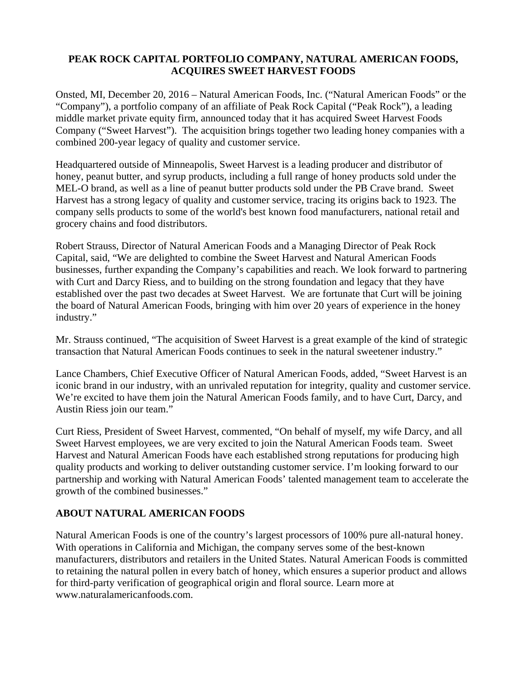#### **PEAK ROCK CAPITAL PORTFOLIO COMPANY, NATURAL AMERICAN FOODS, ACQUIRES SWEET HARVEST FOODS**

Onsted, MI, December 20, 2016 – Natural American Foods, Inc. ("Natural American Foods" or the "Company"), a portfolio company of an affiliate of Peak Rock Capital ("Peak Rock"), a leading middle market private equity firm, announced today that it has acquired Sweet Harvest Foods Company ("Sweet Harvest"). The acquisition brings together two leading honey companies with a combined 200-year legacy of quality and customer service.

Headquartered outside of Minneapolis, Sweet Harvest is a leading producer and distributor of honey, peanut butter, and syrup products, including a full range of honey products sold under the MEL-O brand, as well as a line of peanut butter products sold under the PB Crave brand. Sweet Harvest has a strong legacy of quality and customer service, tracing its origins back to 1923. The company sells products to some of the world's best known food manufacturers, national retail and grocery chains and food distributors.

Robert Strauss, Director of Natural American Foods and a Managing Director of Peak Rock Capital, said, "We are delighted to combine the Sweet Harvest and Natural American Foods businesses, further expanding the Company's capabilities and reach. We look forward to partnering with Curt and Darcy Riess, and to building on the strong foundation and legacy that they have established over the past two decades at Sweet Harvest. We are fortunate that Curt will be joining the board of Natural American Foods, bringing with him over 20 years of experience in the honey industry."

Mr. Strauss continued, "The acquisition of Sweet Harvest is a great example of the kind of strategic transaction that Natural American Foods continues to seek in the natural sweetener industry."

Lance Chambers, Chief Executive Officer of Natural American Foods, added, "Sweet Harvest is an iconic brand in our industry, with an unrivaled reputation for integrity, quality and customer service. We're excited to have them join the Natural American Foods family, and to have Curt, Darcy, and Austin Riess join our team."

Curt Riess, President of Sweet Harvest, commented, "On behalf of myself, my wife Darcy, and all Sweet Harvest employees, we are very excited to join the Natural American Foods team. Sweet Harvest and Natural American Foods have each established strong reputations for producing high quality products and working to deliver outstanding customer service. I'm looking forward to our partnership and working with Natural American Foods' talented management team to accelerate the growth of the combined businesses."

# **ABOUT NATURAL AMERICAN FOODS**

Natural American Foods is one of the country's largest processors of 100% pure all-natural honey. With operations in California and Michigan, the company serves some of the best-known manufacturers, distributors and retailers in the United States. Natural American Foods is committed to retaining the natural pollen in every batch of honey, which ensures a superior product and allows for third-party verification of geographical origin and floral source. Learn more at www.naturalamericanfoods.com.